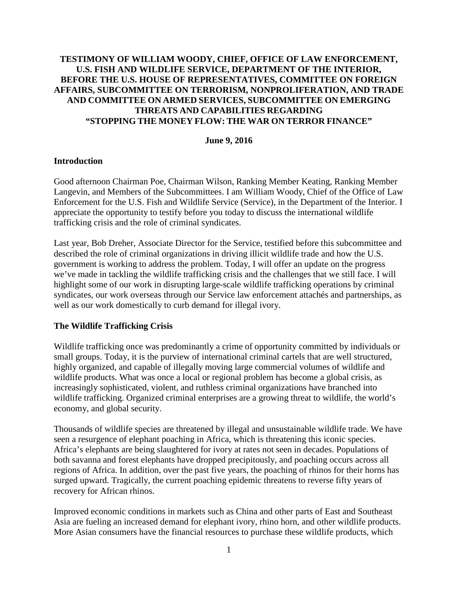# **TESTIMONY OF WILLIAM WOODY, CHIEF, OFFICE OF LAW ENFORCEMENT, U.S. FISH AND WILDLIFE SERVICE, DEPARTMENT OF THE INTERIOR, BEFORE THE U.S. HOUSE OF REPRESENTATIVES, COMMITTEE ON FOREIGN AFFAIRS, SUBCOMMITTEE ON TERRORISM, NONPROLIFERATION, AND TRADE AND COMMITTEE ON ARMED SERVICES, SUBCOMMITTEE ON EMERGING THREATS AND CAPABILITIES REGARDING "STOPPING THE MONEY FLOW: THE WAR ON TERROR FINANCE"**

#### **June 9, 2016**

### **Introduction**

Good afternoon Chairman Poe, Chairman Wilson, Ranking Member Keating, Ranking Member Langevin, and Members of the Subcommittees. I am William Woody, Chief of the Office of Law Enforcement for the U.S. Fish and Wildlife Service (Service), in the Department of the Interior. I appreciate the opportunity to testify before you today to discuss the international wildlife trafficking crisis and the role of criminal syndicates.

Last year, Bob Dreher, Associate Director for the Service, testified before this subcommittee and described the role of criminal organizations in driving illicit wildlife trade and how the U.S. government is working to address the problem. Today, I will offer an update on the progress we've made in tackling the wildlife trafficking crisis and the challenges that we still face. I will highlight some of our work in disrupting large-scale wildlife trafficking operations by criminal syndicates, our work overseas through our Service law enforcement attachés and partnerships, as well as our work domestically to curb demand for illegal ivory.

### **The Wildlife Trafficking Crisis**

Wildlife trafficking once was predominantly a crime of opportunity committed by individuals or small groups. Today, it is the purview of international criminal cartels that are well structured, highly organized, and capable of illegally moving large commercial volumes of wildlife and wildlife products. What was once a local or regional problem has become a global crisis, as increasingly sophisticated, violent, and ruthless criminal organizations have branched into wildlife trafficking. Organized criminal enterprises are a growing threat to wildlife, the world's economy, and global security.

Thousands of wildlife species are threatened by illegal and unsustainable wildlife trade. We have seen a resurgence of elephant poaching in Africa, which is threatening this iconic species. Africa's elephants are being slaughtered for ivory at rates not seen in decades. Populations of both savanna and forest elephants have dropped precipitously, and poaching occurs across all regions of Africa. In addition, over the past five years, the poaching of rhinos for their horns has surged upward. Tragically, the current poaching epidemic threatens to reverse fifty years of recovery for African rhinos.

Improved economic conditions in markets such as China and other parts of East and Southeast Asia are fueling an increased demand for elephant ivory, rhino horn, and other wildlife products. More Asian consumers have the financial resources to purchase these wildlife products, which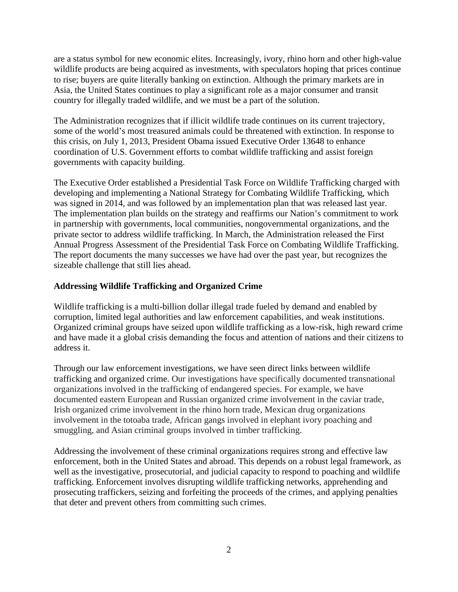are a status symbol for new economic elites. Increasingly, ivory, rhino horn and other high-value wildlife products are being acquired as investments, with speculators hoping that prices continue to rise; buyers are quite literally banking on extinction. Although the primary markets are in Asia, the United States continues to play a significant role as a major consumer and transit country for illegally traded wildlife, and we must be a part of the solution.

The Administration recognizes that if illicit wildlife trade continues on its current trajectory, some of the world's most treasured animals could be threatened with extinction. In response to this crisis, on July 1, 2013, President Obama issued Executive Order 13648 to enhance coordination of U.S. Government efforts to combat wildlife trafficking and assist foreign governments with capacity building.

The Executive Order established a Presidential Task Force on Wildlife Trafficking charged with developing and implementing a National Strategy for Combating Wildlife Trafficking, which was signed in 2014, and was followed by an implementation plan that was released last year. The implementation plan builds on the strategy and reaffirms our Nation's commitment to work in partnership with governments, local communities, nongovernmental organizations, and the private sector to address wildlife trafficking. In March, the Administration released the First Annual Progress Assessment of the Presidential Task Force on Combating Wildlife Trafficking. The report documents the many successes we have had over the past year, but recognizes the sizeable challenge that still lies ahead.

# **Addressing Wildlife Trafficking and Organized Crime**

Wildlife trafficking is a multi-billion dollar illegal trade fueled by demand and enabled by corruption, limited legal authorities and law enforcement capabilities, and weak institutions. Organized criminal groups have seized upon wildlife trafficking as a low-risk, high reward crime and have made it a global crisis demanding the focus and attention of nations and their citizens to address it.

Through our law enforcement investigations, we have seen direct links between wildlife trafficking and organized crime. Our investigations have specifically documented transnational organizations involved in the trafficking of endangered species. For example, we have documented eastern European and Russian organized crime involvement in the caviar trade, Irish organized crime involvement in the rhino horn trade, Mexican drug organizations involvement in the totoaba trade, African gangs involved in elephant ivory poaching and smuggling, and Asian criminal groups involved in timber trafficking.

Addressing the involvement of these criminal organizations requires strong and effective law enforcement, both in the United States and abroad. This depends on a robust legal framework, as well as the investigative, prosecutorial, and judicial capacity to respond to poaching and wildlife trafficking. Enforcement involves disrupting wildlife trafficking networks, apprehending and prosecuting traffickers, seizing and forfeiting the proceeds of the crimes, and applying penalties that deter and prevent others from committing such crimes.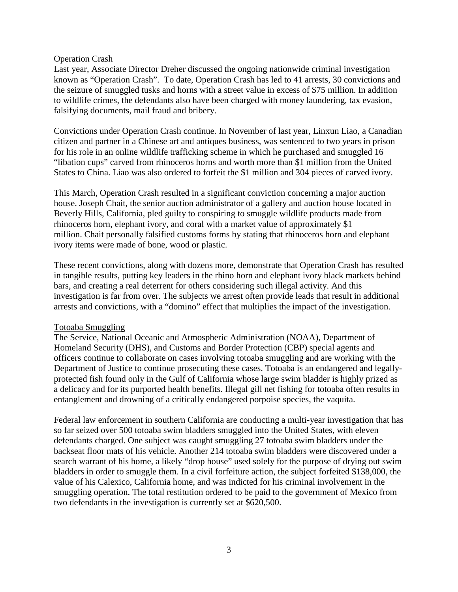#### Operation Crash

Last year, Associate Director Dreher discussed the ongoing nationwide criminal investigation known as "Operation Crash". To date, Operation Crash has led to 41 arrests, 30 convictions and the seizure of smuggled tusks and horns with a street value in excess of \$75 million. In addition to wildlife crimes, the defendants also have been charged with money laundering, tax evasion, falsifying documents, mail fraud and bribery.

Convictions under Operation Crash continue. In November of last year, Linxun Liao, a Canadian citizen and partner in a Chinese art and antiques business, was sentenced to two years in prison for his role in an online wildlife trafficking scheme in which he purchased and smuggled 16 "libation cups" carved from rhinoceros horns and worth more than \$1 million from the United States to China. Liao was also ordered to forfeit the \$1 million and 304 pieces of carved ivory.

This March, Operation Crash resulted in a significant conviction concerning a major auction house. Joseph Chait, the senior auction administrator of a gallery and auction house located in Beverly Hills, California, pled guilty to conspiring to smuggle wildlife products made from rhinoceros horn, elephant ivory, and coral with a market value of approximately \$1 million. Chait personally falsified customs forms by stating that rhinoceros horn and elephant ivory items were made of bone, wood or plastic.

These recent convictions, along with dozens more, demonstrate that Operation Crash has resulted in tangible results, putting key leaders in the rhino horn and elephant ivory black markets behind bars, and creating a real deterrent for others considering such illegal activity. And this investigation is far from over. The subjects we arrest often provide leads that result in additional arrests and convictions, with a "domino" effect that multiplies the impact of the investigation.

### Totoaba Smuggling

The Service, National Oceanic and Atmospheric Administration (NOAA), Department of Homeland Security (DHS), and Customs and Border Protection (CBP) special agents and officers continue to collaborate on cases involving totoaba smuggling and are working with the Department of Justice to continue prosecuting these cases. Totoaba is an endangered and legallyprotected fish found only in the Gulf of California whose large swim bladder is highly prized as a delicacy and for its purported health benefits. Illegal gill net fishing for totoaba often results in entanglement and drowning of a critically endangered porpoise species, the vaquita.

Federal law enforcement in southern California are conducting a multi-year investigation that has so far seized over 500 totoaba swim bladders smuggled into the United States, with eleven defendants charged. One subject was caught smuggling 27 totoaba swim bladders under the backseat floor mats of his vehicle. Another 214 totoaba swim bladders were discovered under a search warrant of his home, a likely "drop house" used solely for the purpose of drying out swim bladders in order to smuggle them. In a civil forfeiture action, the subject forfeited \$138,000, the value of his Calexico, California home, and was indicted for his criminal involvement in the smuggling operation. The total restitution ordered to be paid to the government of Mexico from two defendants in the investigation is currently set at \$620,500.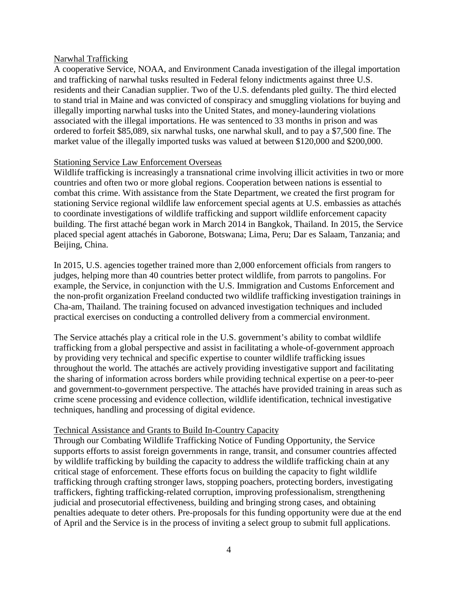#### Narwhal Trafficking

A cooperative Service, NOAA, and Environment Canada investigation of the illegal importation and trafficking of narwhal tusks resulted in Federal felony indictments against three U.S. residents and their Canadian supplier. Two of the U.S. defendants pled guilty. The third elected to stand trial in Maine and was convicted of conspiracy and smuggling violations for buying and illegally importing narwhal tusks into the United States, and money-laundering violations associated with the illegal importations. He was sentenced to 33 months in prison and was ordered to forfeit \$85,089, six narwhal tusks, one narwhal skull, and to pay a \$7,500 fine. The market value of the illegally imported tusks was valued at between \$120,000 and \$200,000.

### Stationing Service Law Enforcement Overseas

Wildlife trafficking is increasingly a transnational crime involving illicit activities in two or more countries and often two or more global regions. Cooperation between nations is essential to combat this crime. With assistance from the State Department, we created the first program for stationing Service regional wildlife law enforcement special agents at U.S. embassies as attachés to coordinate investigations of wildlife trafficking and support wildlife enforcement capacity building. The first attaché began work in March 2014 in Bangkok, Thailand. In 2015, the Service placed special agent attachés in Gaborone, Botswana; Lima, Peru; Dar es Salaam, Tanzania; and Beijing, China.

In 2015, U.S. agencies together trained more than 2,000 enforcement officials from rangers to judges, helping more than 40 countries better protect wildlife, from parrots to pangolins. For example, the Service, in conjunction with the U.S. Immigration and Customs Enforcement and the non-profit organization Freeland conducted two wildlife trafficking investigation trainings in Cha-am, Thailand. The training focused on advanced investigation techniques and included practical exercises on conducting a controlled delivery from a commercial environment.

The Service attachés play a critical role in the U.S. government's ability to combat wildlife trafficking from a global perspective and assist in facilitating a whole-of-government approach by providing very technical and specific expertise to counter wildlife trafficking issues throughout the world. The attachés are actively providing investigative support and facilitating the sharing of information across borders while providing technical expertise on a peer-to-peer and government-to-government perspective. The attachés have provided training in areas such as crime scene processing and evidence collection, wildlife identification, technical investigative techniques, handling and processing of digital evidence.

### Technical Assistance and Grants to Build In-Country Capacity

Through our Combating Wildlife Trafficking Notice of Funding Opportunity, the Service supports efforts to assist foreign governments in range, transit, and consumer countries affected by wildlife trafficking by building the capacity to address the wildlife trafficking chain at any critical stage of enforcement. These efforts focus on building the capacity to fight wildlife trafficking through crafting stronger laws, stopping poachers, protecting borders, investigating traffickers, fighting trafficking-related corruption, improving professionalism, strengthening judicial and prosecutorial effectiveness, building and bringing strong cases, and obtaining penalties adequate to deter others. Pre-proposals for this funding opportunity were due at the end of April and the Service is in the process of inviting a select group to submit full applications.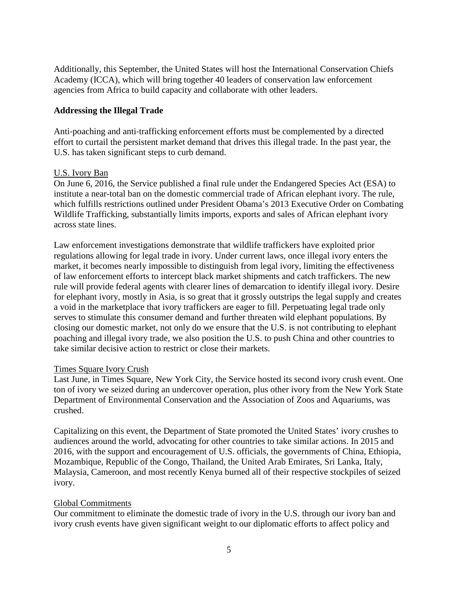Additionally, this September, the United States will host the International Conservation Chiefs Academy (ICCA), which will bring together 40 leaders of conservation law enforcement agencies from Africa to build capacity and collaborate with other leaders.

### **Addressing the Illegal Trade**

Anti-poaching and anti-trafficking enforcement efforts must be complemented by a directed effort to curtail the persistent market demand that drives this illegal trade. In the past year, the U.S. has taken significant steps to curb demand.

### U.S. Ivory Ban

On June 6, 2016, the Service published a final rule under the Endangered Species Act (ESA) to institute a near-total ban on the domestic commercial trade of African elephant ivory. The rule, which fulfills restrictions outlined under President Obama's 2013 Executive Order on Combating Wildlife Trafficking, substantially limits imports, exports and sales of African elephant ivory across state lines.

Law enforcement investigations demonstrate that wildlife traffickers have exploited prior regulations allowing for legal trade in ivory. Under current laws, once illegal ivory enters the market, it becomes nearly impossible to distinguish from legal ivory, limiting the effectiveness of law enforcement efforts to intercept black market shipments and catch traffickers. The new rule will provide federal agents with clearer lines of demarcation to identify illegal ivory. Desire for elephant ivory, mostly in Asia, is so great that it grossly outstrips the legal supply and creates a void in the marketplace that ivory traffickers are eager to fill. Perpetuating legal trade only serves to stimulate this consumer demand and further threaten wild elephant populations. By closing our domestic market, not only do we ensure that the U.S. is not contributing to elephant poaching and illegal ivory trade, we also position the U.S. to push China and other countries to take similar decisive action to restrict or close their markets.

### Times Square Ivory Crush

Last June, in Times Square, New York City, the Service hosted its second ivory crush event. One ton of ivory we seized during an undercover operation, plus other ivory from the New York State Department of Environmental Conservation and the Association of Zoos and Aquariums, was crushed.

Capitalizing on this event, the Department of State promoted the United States' ivory crushes to audiences around the world, advocating for other countries to take similar actions. In 2015 and 2016, with the support and encouragement of U.S. officials, the governments of China, Ethiopia, Mozambique, Republic of the Congo, Thailand, the United Arab Emirates, Sri Lanka, Italy, Malaysia, Cameroon, and most recently Kenya burned all of their respective stockpiles of seized ivory.

# Global Commitments

Our commitment to eliminate the domestic trade of ivory in the U.S. through our ivory ban and ivory crush events have given significant weight to our diplomatic efforts to affect policy and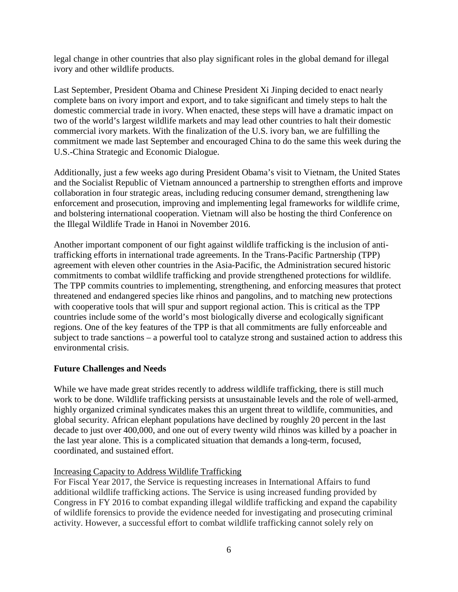legal change in other countries that also play significant roles in the global demand for illegal ivory and other wildlife products.

Last September, President Obama and Chinese President Xi Jinping decided to enact nearly complete bans on ivory import and export, and to take significant and timely steps to halt the domestic commercial trade in ivory. When enacted, these steps will have a dramatic impact on two of the world's largest wildlife markets and may lead other countries to halt their domestic commercial ivory markets. With the finalization of the U.S. ivory ban, we are fulfilling the commitment we made last September and encouraged China to do the same this week during the U.S.-China Strategic and Economic Dialogue.

Additionally, just a few weeks ago during President Obama's visit to Vietnam, the United States and the Socialist Republic of Vietnam announced a partnership to strengthen efforts and improve collaboration in four strategic areas, including reducing consumer demand, strengthening law enforcement and prosecution, improving and implementing legal frameworks for wildlife crime, and bolstering international cooperation. Vietnam will also be hosting the third Conference on the Illegal Wildlife Trade in Hanoi in November 2016.

Another important component of our fight against wildlife trafficking is the inclusion of antitrafficking efforts in international trade agreements. In the Trans-Pacific Partnership (TPP) agreement with eleven other countries in the Asia-Pacific, the Administration secured historic commitments to combat wildlife trafficking and provide strengthened protections for wildlife. The TPP commits countries to implementing, strengthening, and enforcing measures that protect threatened and endangered species like rhinos and pangolins, and to matching new protections with cooperative tools that will spur and support regional action. This is critical as the TPP countries include some of the world's most biologically diverse and ecologically significant regions. One of the key features of the TPP is that all commitments are fully enforceable and subject to trade sanctions – a powerful tool to catalyze strong and sustained action to address this environmental crisis.

# **Future Challenges and Needs**

While we have made great strides recently to address wildlife trafficking, there is still much work to be done. Wildlife trafficking persists at unsustainable levels and the role of well-armed, highly organized criminal syndicates makes this an urgent threat to wildlife, communities, and global security. African elephant populations have declined by roughly 20 percent in the last decade to just over 400,000, and one out of every twenty wild rhinos was killed by a poacher in the last year alone. This is a complicated situation that demands a long-term, focused, coordinated, and sustained effort.

# Increasing Capacity to Address Wildlife Trafficking

For Fiscal Year 2017, the Service is requesting increases in International Affairs to fund additional wildlife trafficking actions. The Service is using increased funding provided by Congress in FY 2016 to combat expanding illegal wildlife trafficking and expand the capability of wildlife forensics to provide the evidence needed for investigating and prosecuting criminal activity. However, a successful effort to combat wildlife trafficking cannot solely rely on